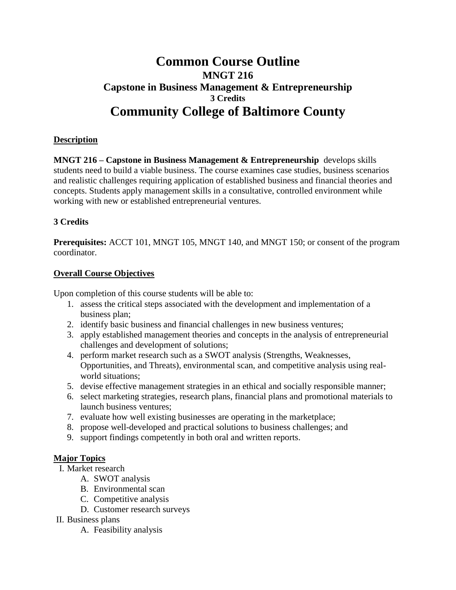# **Common Course Outline MNGT 216 Capstone in Business Management & Entrepreneurship 3 Credits Community College of Baltimore County**

## **Description**

**MNGT 216 – Capstone in Business Management & Entrepreneurship** develops skills students need to build a viable business. The course examines case studies, business scenarios and realistic challenges requiring application of established business and financial theories and concepts. Students apply management skills in a consultative, controlled environment while working with new or established entrepreneurial ventures.

## **3 Credits**

**Prerequisites:** ACCT 101, MNGT 105, MNGT 140, and MNGT 150; or consent of the program coordinator.

## **Overall Course Objectives**

Upon completion of this course students will be able to:

- 1. assess the critical steps associated with the development and implementation of a business plan;
- 2. identify basic business and financial challenges in new business ventures;
- 3. apply established management theories and concepts in the analysis of entrepreneurial challenges and development of solutions;
- 4. perform market research such as a SWOT analysis (Strengths, Weaknesses, Opportunities, and Threats), environmental scan, and competitive analysis using realworld situations;
- 5. devise effective management strategies in an ethical and socially responsible manner;
- 6. select marketing strategies, research plans, financial plans and promotional materials to launch business ventures;
- 7. evaluate how well existing businesses are operating in the marketplace;
- 8. propose well-developed and practical solutions to business challenges; and
- 9. support findings competently in both oral and written reports.

## **Major Topics**

- I. Market research
	- A. SWOT analysis
	- B. Environmental scan
	- C. Competitive analysis
	- D. Customer research surveys
- II. Business plans
	- A. Feasibility analysis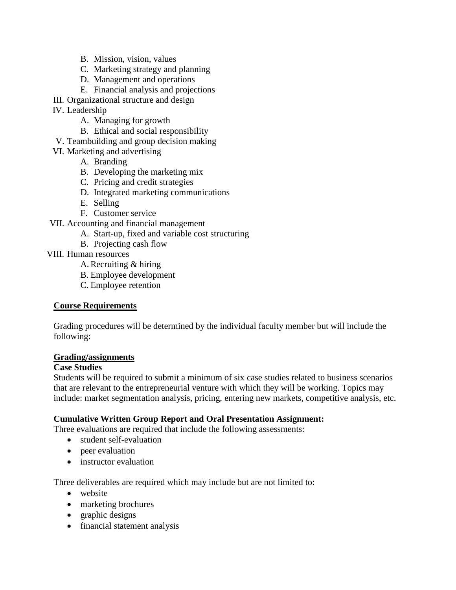- B. Mission, vision, values
- C. Marketing strategy and planning
- D. Management and operations
- E. Financial analysis and projections
- III. Organizational structure and design
- IV. Leadership
	- A. Managing for growth
	- B. Ethical and social responsibility
- V. Teambuilding and group decision making
- VI. Marketing and advertising
	- A. Branding
	- B. Developing the marketing mix
	- C. Pricing and credit strategies
	- D. Integrated marketing communications
	- E. Selling
	- F. Customer service
- VII. Accounting and financial management
	- A. Start-up, fixed and variable cost structuring
	- B. Projecting cash flow
- VIII. Human resources
	- A.Recruiting & hiring
	- B. Employee development
	- C. Employee retention

## **Course Requirements**

Grading procedures will be determined by the individual faculty member but will include the following:

#### **Grading/assignments**

#### **Case Studies**

Students will be required to submit a minimum of six case studies related to business scenarios that are relevant to the entrepreneurial venture with which they will be working. Topics may include: market segmentation analysis, pricing, entering new markets, competitive analysis, etc.

#### **Cumulative Written Group Report and Oral Presentation Assignment:**

Three evaluations are required that include the following assessments:

- student self-evaluation
- peer evaluation
- instructor evaluation

Three deliverables are required which may include but are not limited to:

- website
- marketing brochures
- graphic designs
- financial statement analysis